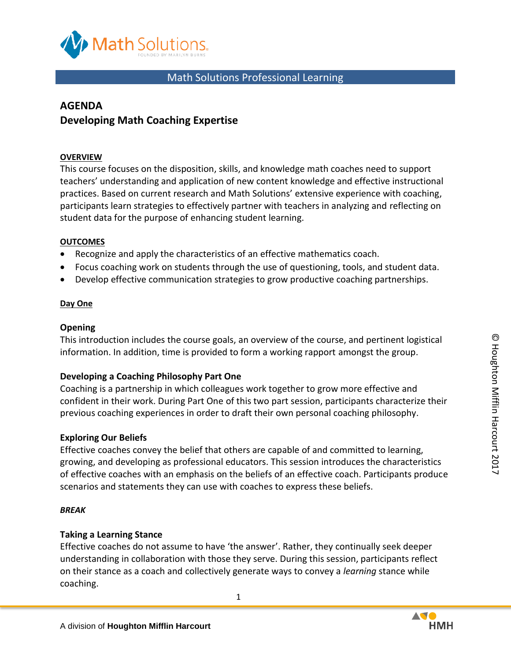

# Math Solutions Professional Learning

# **AGENDA Developing Math Coaching Expertise**

#### **OVERVIEW**

This course focuses on the disposition, skills, and knowledge math coaches need to support teachers' understanding and application of new content knowledge and effective instructional practices. Based on current research and Math Solutions' extensive experience with coaching, participants learn strategies to effectively partner with teachers in analyzing and reflecting on student data for the purpose of enhancing student learning.

#### **OUTCOMES**

- Recognize and apply the characteristics of an effective mathematics coach.
- Focus coaching work on students through the use of questioning, tools, and student data.
- Develop effective communication strategies to grow productive coaching partnerships.

#### **Day One**

#### **Opening**

This introduction includes the course goals, an overview of the course, and pertinent logistical information. In addition, time is provided to form a working rapport amongst the group.

#### **Developing a Coaching Philosophy Part One**

Coaching is a partnership in which colleagues work together to grow more effective and confident in their work. During Part One of this two part session, participants characterize their previous coaching experiences in order to draft their own personal coaching philosophy.

#### **Exploring Our Beliefs**

Effective coaches convey the belief that others are capable of and committed to learning, growing, and developing as professional educators. This session introduces the characteristics of effective coaches with an emphasis on the beliefs of an effective coach. Participants produce scenarios and statements they can use with coaches to express these beliefs.

#### *BREAK*

#### **Taking a Learning Stance**

Effective coaches do not assume to have 'the answer'. Rather, they continually seek deeper understanding in collaboration with those they serve. During this session, participants reflect on their stance as a coach and collectively generate ways to convey a *learning* stance while coaching.

1



©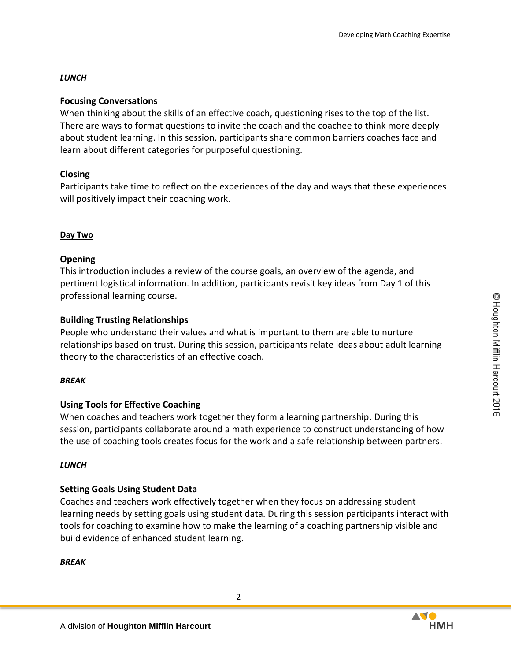### *LUNCH*

### **Focusing Conversations**

When thinking about the skills of an effective coach, questioning rises to the top of the list. There are ways to format questions to invite the coach and the coachee to think more deeply about student learning. In this session, participants share common barriers coaches face and learn about different categories for purposeful questioning.

### **Closing**

Participants take time to reflect on the experiences of the day and ways that these experiences will positively impact their coaching work.

### **Day Two**

### **Opening**

This introduction includes a review of the course goals, an overview of the agenda, and pertinent logistical information. In addition, participants revisit key ideas from Day 1 of this professional learning course.

## **Building Trusting Relationships**

People who understand their values and what is important to them are able to nurture relationships based on trust. During this session, participants relate ideas about adult learning theory to the characteristics of an effective coach.

### *BREAK*

# **Using Tools for Effective Coaching**

When coaches and teachers work together they form a learning partnership. During this session, participants collaborate around a math experience to construct understanding of how the use of coaching tools creates focus for the work and a safe relationship between partners.

# *LUNCH*

# **Setting Goals Using Student Data**

Coaches and teachers work effectively together when they focus on addressing student learning needs by setting goals using student data. During this session participants interact with tools for coaching to examine how to make the learning of a coaching partnership visible and build evidence of enhanced student learning.

### *BREAK*